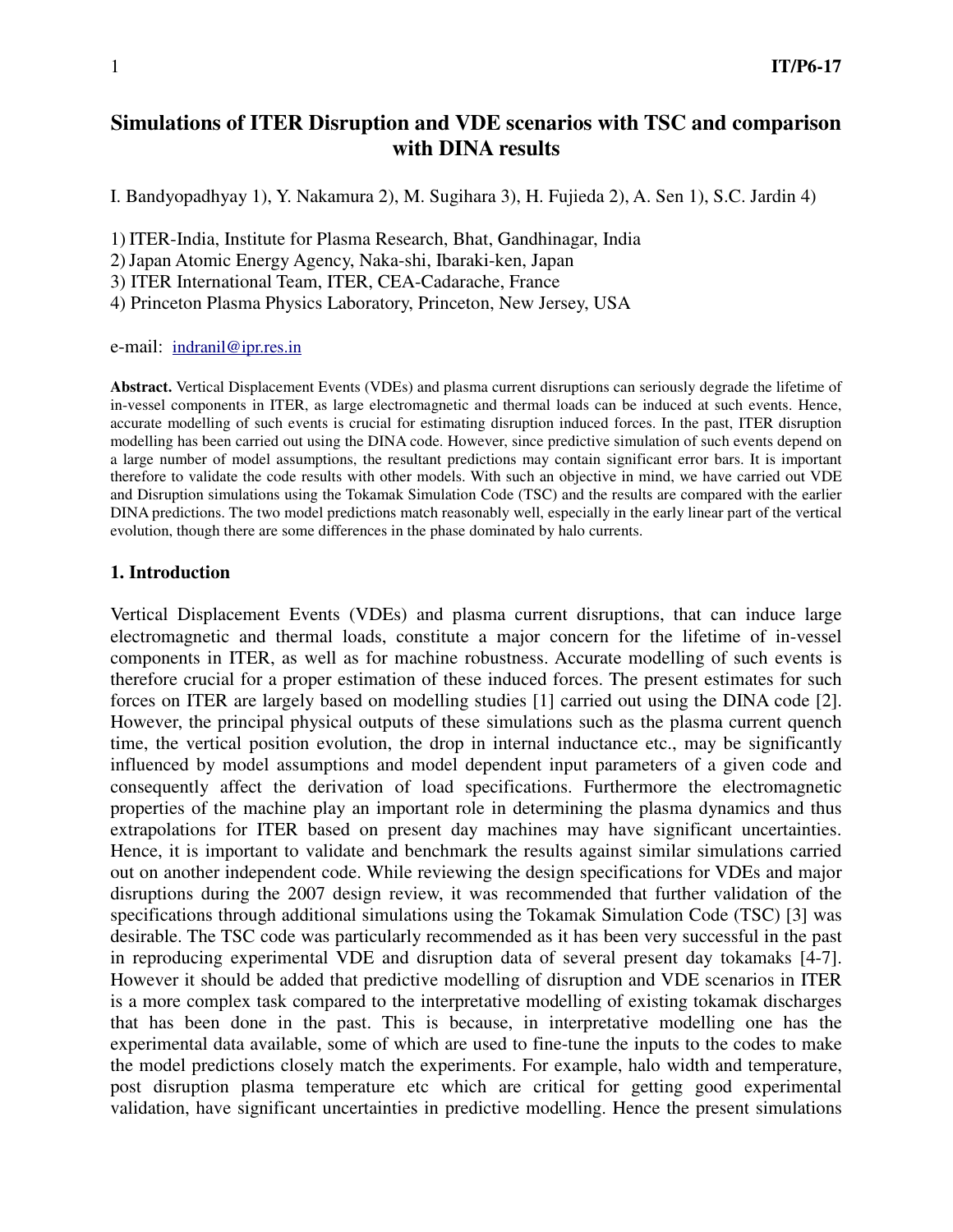# **Simulations of ITER Disruption and VDE scenarios with TSC and comparison with DINA results**

I. Bandyopadhyay 1), Y. Nakamura 2), M. Sugihara 3), H. Fujieda 2), A. Sen 1), S.C. Jardin 4)

1) ITER-India, Institute for Plasma Research, Bhat, Gandhinagar, India

2)Japan Atomic Energy Agency, Naka-shi, Ibaraki-ken, Japan

3) ITER International Team, ITER, CEA-Cadarache, France

4) Princeton Plasma Physics Laboratory, Princeton, New Jersey, USA

e-mail: indranil@ipr.res.in

**Abstract.** Vertical Displacement Events (VDEs) and plasma current disruptions can seriously degrade the lifetime of in-vessel components in ITER, as large electromagnetic and thermal loads can be induced at such events. Hence, accurate modelling of such events is crucial for estimating disruption induced forces. In the past, ITER disruption modelling has been carried out using the DINA code. However, since predictive simulation of such events depend on a large number of model assumptions, the resultant predictions may contain significant error bars. It is important therefore to validate the code results with other models. With such an objective in mind, we have carried out VDE and Disruption simulations using the Tokamak Simulation Code (TSC) and the results are compared with the earlier DINA predictions. The two model predictions match reasonably well, especially in the early linear part of the vertical evolution, though there are some differences in the phase dominated by halo currents.

## **1. Introduction**

Vertical Displacement Events (VDEs) and plasma current disruptions, that can induce large electromagnetic and thermal loads, constitute a major concern for the lifetime of in-vessel components in ITER, as well as for machine robustness. Accurate modelling of such events is therefore crucial for a proper estimation of these induced forces. The present estimates for such forces on ITER are largely based on modelling studies [1] carried out using the DINA code [2]. However, the principal physical outputs of these simulations such as the plasma current quench time, the vertical position evolution, the drop in internal inductance etc., may be significantly influenced by model assumptions and model dependent input parameters of a given code and consequently affect the derivation of load specifications. Furthermore the electromagnetic properties of the machine play an important role in determining the plasma dynamics and thus extrapolations for ITER based on present day machines may have significant uncertainties. Hence, it is important to validate and benchmark the results against similar simulations carried out on another independent code. While reviewing the design specifications for VDEs and major disruptions during the 2007 design review, it was recommended that further validation of the specifications through additional simulations using the Tokamak Simulation Code (TSC) [3] was desirable. The TSC code was particularly recommended as it has been very successful in the past in reproducing experimental VDE and disruption data of several present day tokamaks [4-7]. However it should be added that predictive modelling of disruption and VDE scenarios in ITER is a more complex task compared to the interpretative modelling of existing tokamak discharges that has been done in the past. This is because, in interpretative modelling one has the experimental data available, some of which are used to fine-tune the inputs to the codes to make the model predictions closely match the experiments. For example, halo width and temperature, post disruption plasma temperature etc which are critical for getting good experimental validation, have significant uncertainties in predictive modelling. Hence the present simulations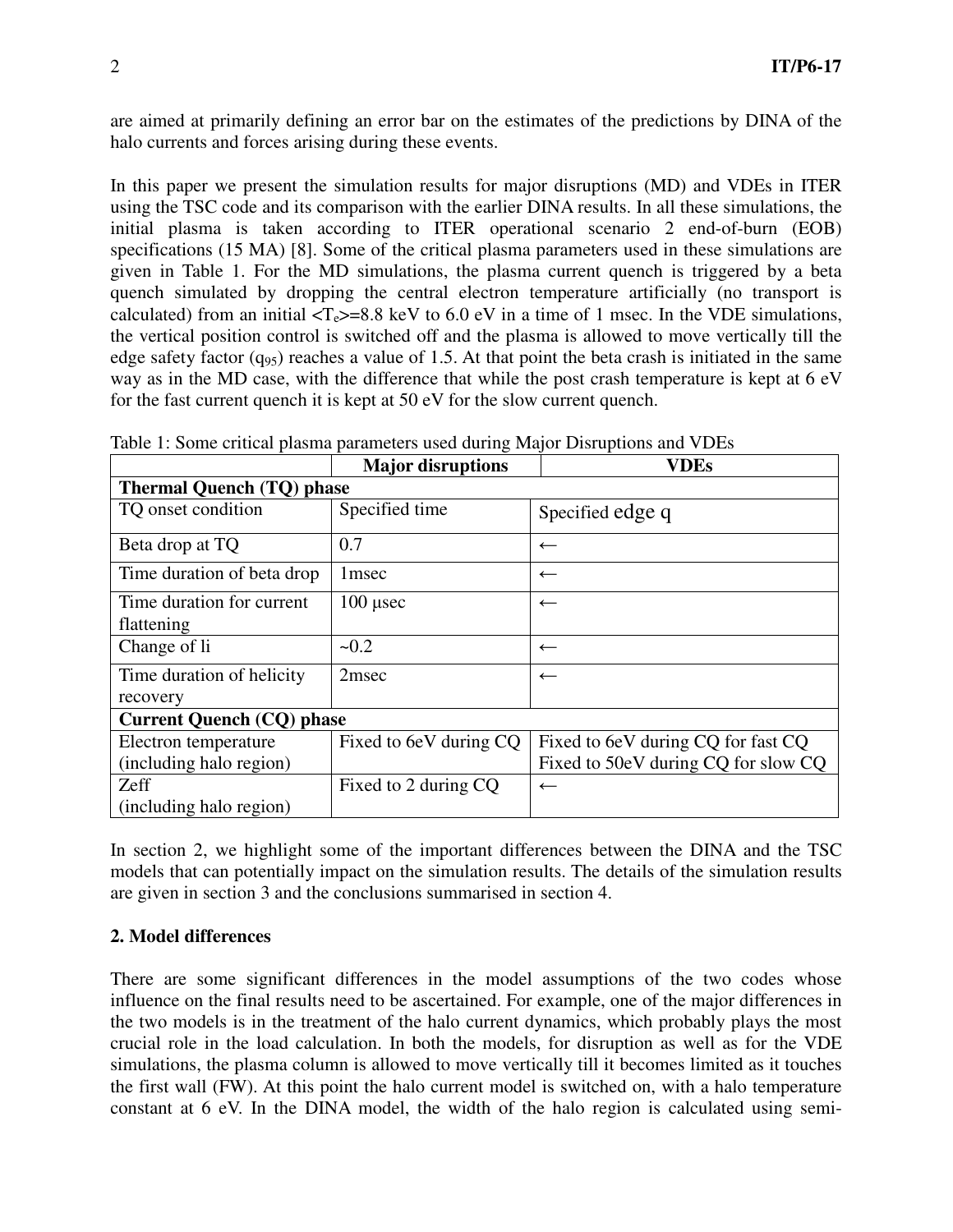are aimed at primarily defining an error bar on the estimates of the predictions by DINA of the halo currents and forces arising during these events.

In this paper we present the simulation results for major disruptions (MD) and VDEs in ITER using the TSC code and its comparison with the earlier DINA results. In all these simulations, the initial plasma is taken according to ITER operational scenario 2 end-of-burn (EOB) specifications (15 MA) [8]. Some of the critical plasma parameters used in these simulations are given in Table 1. For the MD simulations, the plasma current quench is triggered by a beta quench simulated by dropping the central electron temperature artificially (no transport is calculated) from an initial  $\langle T_e \rangle = 8.8$  keV to 6.0 eV in a time of 1 msec. In the VDE simulations, the vertical position control is switched off and the plasma is allowed to move vertically till the edge safety factor  $(q_{95})$  reaches a value of 1.5. At that point the beta crash is initiated in the same way as in the MD case, with the difference that while the post crash temperature is kept at 6 eV for the fast current quench it is kept at 50 eV for the slow current quench.

|                                  | <b>Major disruptions</b> | <b>VDEs</b>                         |
|----------------------------------|--------------------------|-------------------------------------|
| <b>Thermal Quench (TQ) phase</b> |                          |                                     |
| TQ onset condition               | Specified time           | Specified edge q                    |
| Beta drop at TQ                  | 0.7                      | $\leftarrow$                        |
| Time duration of beta drop       | 1 msec                   | $\leftarrow$                        |
| Time duration for current        | $100 \mu$ sec            | $\leftarrow$                        |
| flattening                       |                          |                                     |
| Change of li                     | $-0.2$                   | $\leftarrow$                        |
| Time duration of helicity        | 2 <sub>msec</sub>        | $\leftarrow$                        |
| recovery                         |                          |                                     |
| <b>Current Quench (CQ) phase</b> |                          |                                     |
| Electron temperature             | Fixed to 6eV during CQ   | Fixed to 6eV during CQ for fast CQ  |
| (including halo region)          |                          | Fixed to 50eV during CQ for slow CQ |
| Zeff                             | Fixed to 2 during CQ     | $\leftarrow$                        |
| (including halo region)          |                          |                                     |

Table 1: Some critical plasma parameters used during Major Disruptions and VDEs

In section 2, we highlight some of the important differences between the DINA and the TSC models that can potentially impact on the simulation results. The details of the simulation results are given in section 3 and the conclusions summarised in section 4.

## **2. Model differences**

There are some significant differences in the model assumptions of the two codes whose influence on the final results need to be ascertained. For example, one of the major differences in the two models is in the treatment of the halo current dynamics, which probably plays the most crucial role in the load calculation. In both the models, for disruption as well as for the VDE simulations, the plasma column is allowed to move vertically till it becomes limited as it touches the first wall (FW). At this point the halo current model is switched on, with a halo temperature constant at 6 eV. In the DINA model, the width of the halo region is calculated using semi-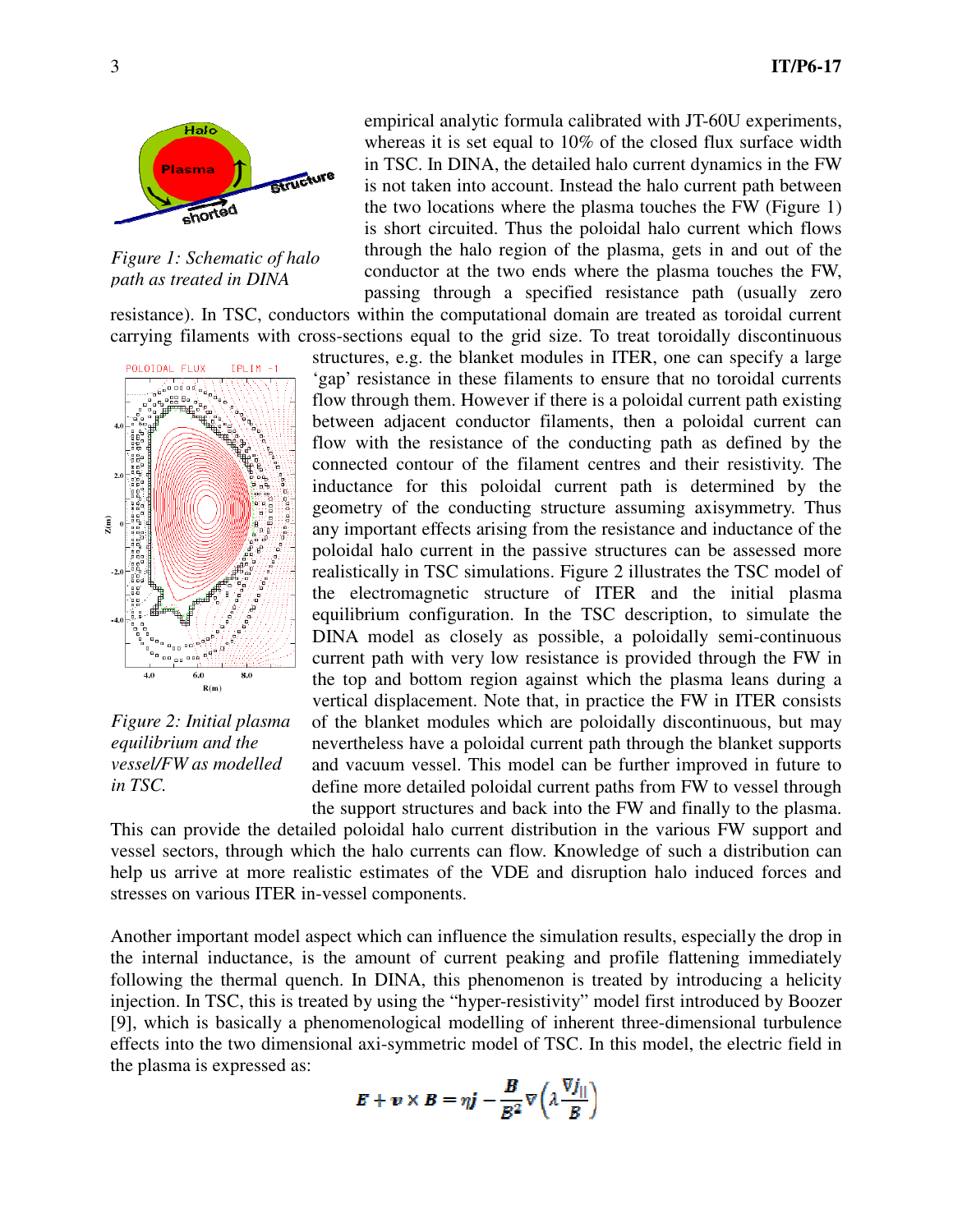

*Figure 1: Schematic of halo path as treated in DINA*

resistance). In TSC, conductors within the computational domain are treated as toroidal current carrying filaments with cross-sections equal to the grid size. To treat toroidally discontinuous



*Figure 2: Initial plasma equilibrium and the vessel/FW as modelled in TSC.* 

empirical analytic formula calibrated with JT-60U experiments, whereas it is set equal to 10% of the closed flux surface width in TSC. In DINA, the detailed halo current dynamics in the FW is not taken into account. Instead the halo current path between the two locations where the plasma touches the FW (Figure 1) is short circuited. Thus the poloidal halo current which flows through the halo region of the plasma, gets in and out of the conductor at the two ends where the plasma touches the FW, passing through a specified resistance path (usually zero

structures, e.g. the blanket modules in ITER, one can specify a large 'gap' resistance in these filaments to ensure that no toroidal currents flow through them. However if there is a poloidal current path existing between adjacent conductor filaments, then a poloidal current can flow with the resistance of the conducting path as defined by the connected contour of the filament centres and their resistivity. The inductance for this poloidal current path is determined by the geometry of the conducting structure assuming axisymmetry. Thus any important effects arising from the resistance and inductance of the poloidal halo current in the passive structures can be assessed more realistically in TSC simulations. Figure 2 illustrates the TSC model of the electromagnetic structure of ITER and the initial plasma equilibrium configuration. In the TSC description, to simulate the DINA model as closely as possible, a poloidally semi-continuous current path with very low resistance is provided through the FW in the top and bottom region against which the plasma leans during a vertical displacement. Note that, in practice the FW in ITER consists of the blanket modules which are poloidally discontinuous, but may nevertheless have a poloidal current path through the blanket supports and vacuum vessel. This model can be further improved in future to define more detailed poloidal current paths from FW to vessel through the support structures and back into the FW and finally to the plasma.

This can provide the detailed poloidal halo current distribution in the various FW support and vessel sectors, through which the halo currents can flow. Knowledge of such a distribution can help us arrive at more realistic estimates of the VDE and disruption halo induced forces and stresses on various ITER in-vessel components.

Another important model aspect which can influence the simulation results, especially the drop in the internal inductance, is the amount of current peaking and profile flattening immediately following the thermal quench. In DINA, this phenomenon is treated by introducing a helicity injection. In TSC, this is treated by using the "hyper-resistivity" model first introduced by Boozer [9], which is basically a phenomenological modelling of inherent three-dimensional turbulence effects into the two dimensional axi-symmetric model of TSC. In this model, the electric field in the plasma is expressed as:

$$
E + v \times B = \eta j - \frac{B}{B^2} \nabla \left( \lambda \frac{\nabla J_{||}}{B} \right)
$$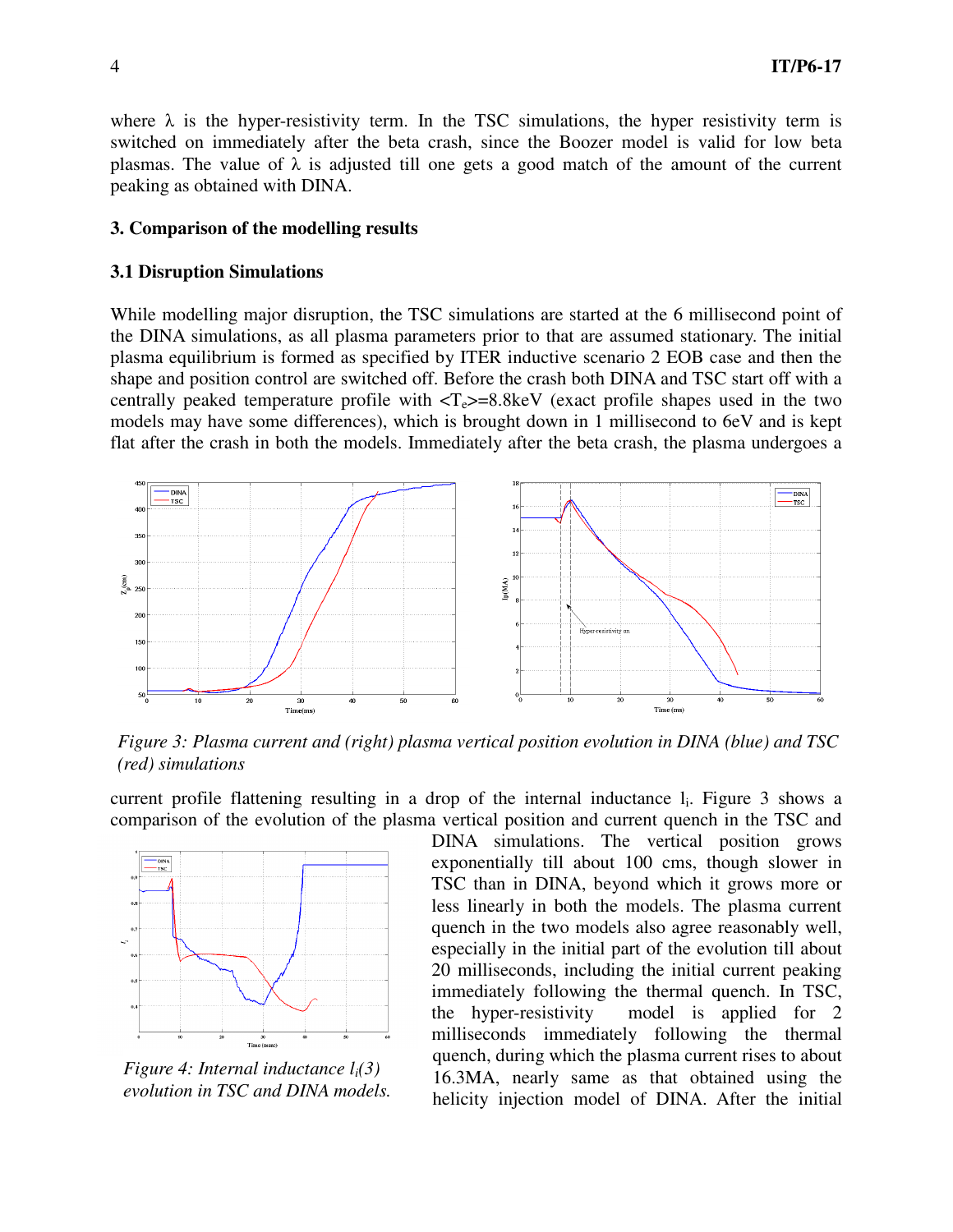where  $\lambda$  is the hyper-resistivity term. In the TSC simulations, the hyper resistivity term is switched on immediately after the beta crash, since the Boozer model is valid for low beta plasmas. The value of  $\lambda$  is adjusted till one gets a good match of the amount of the current peaking as obtained with DINA.

#### **3. Comparison of the modelling results**

#### **3.1 Disruption Simulations**

While modelling major disruption, the TSC simulations are started at the 6 millisecond point of the DINA simulations, as all plasma parameters prior to that are assumed stationary. The initial plasma equilibrium is formed as specified by ITER inductive scenario 2 EOB case and then the shape and position control are switched off. Before the crash both DINA and TSC start off with a centrally peaked temperature profile with  $\langle T_e \rangle = 8.8 \text{ keV}$  (exact profile shapes used in the two models may have some differences), which is brought down in 1 millisecond to 6eV and is kept flat after the crash in both the models. Immediately after the beta crash, the plasma undergoes a



*Figure 3: Plasma current and (right) plasma vertical position evolution in DINA (blue) and TSC (red) simulations* 

current profile flattening resulting in a drop of the internal inductance l<sub>i</sub>. Figure 3 shows a comparison of the evolution of the plasma vertical position and current quench in the TSC and



*Figure 4: Internal inductance li(3) evolution in TSC and DINA models.*

DINA simulations. The vertical position grows exponentially till about 100 cms, though slower in TSC than in DINA, beyond which it grows more or less linearly in both the models. The plasma current quench in the two models also agree reasonably well, especially in the initial part of the evolution till about 20 milliseconds, including the initial current peaking immediately following the thermal quench. In TSC, the hyper-resistivity model is applied for 2 milliseconds immediately following the thermal quench, during which the plasma current rises to about 16.3MA, nearly same as that obtained using the helicity injection model of DINA. After the initial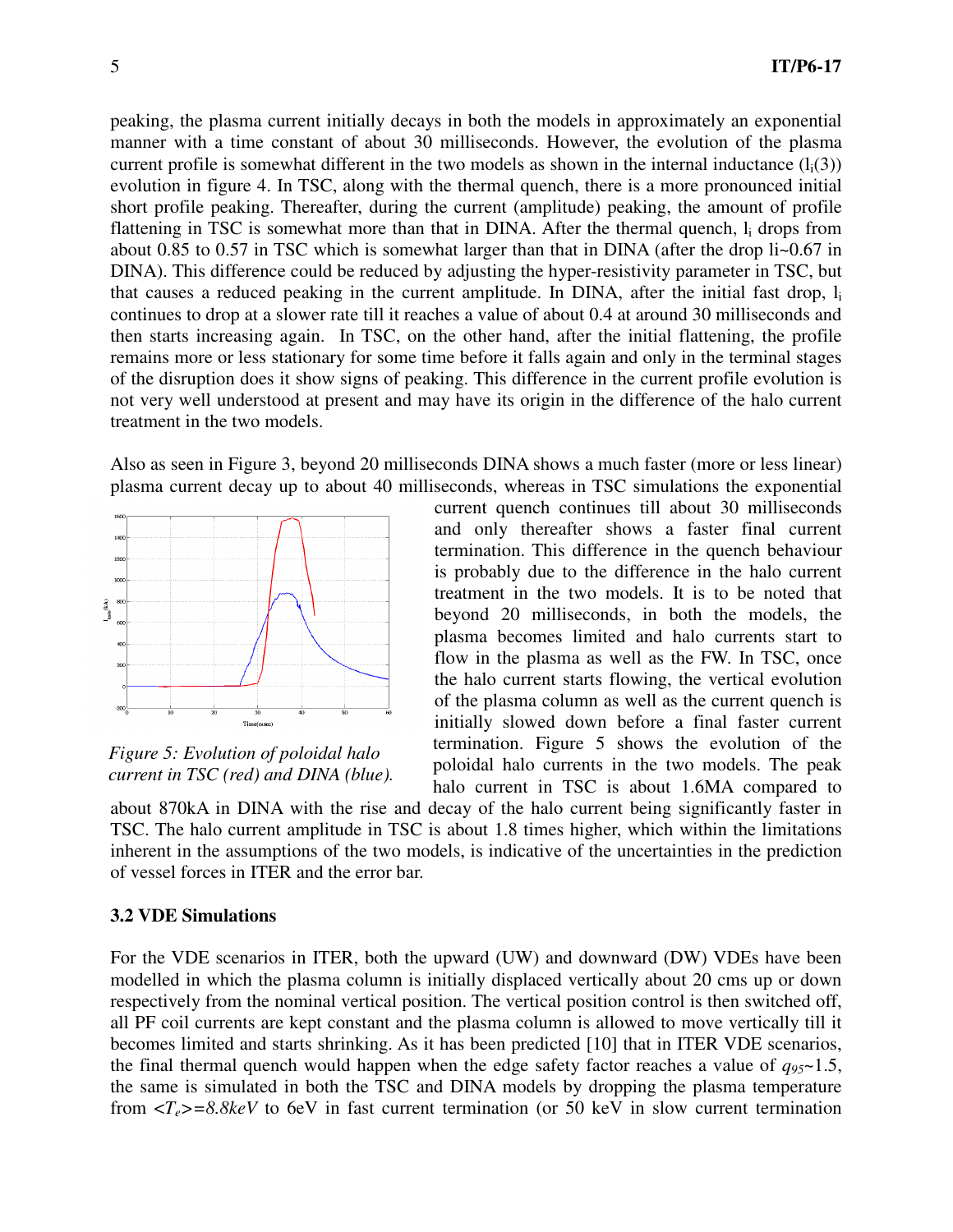peaking, the plasma current initially decays in both the models in approximately an exponential manner with a time constant of about 30 milliseconds. However, the evolution of the plasma current profile is somewhat different in the two models as shown in the internal inductance  $(l_i(3))$ evolution in figure 4. In TSC, along with the thermal quench, there is a more pronounced initial short profile peaking. Thereafter, during the current (amplitude) peaking, the amount of profile flattening in TSC is somewhat more than that in DINA. After the thermal quench, l<sub>i</sub> drops from about 0.85 to 0.57 in TSC which is somewhat larger than that in DINA (after the drop li~0.67 in DINA). This difference could be reduced by adjusting the hyper-resistivity parameter in TSC, but that causes a reduced peaking in the current amplitude. In DINA, after the initial fast drop, l<sup>i</sup> continues to drop at a slower rate till it reaches a value of about 0.4 at around 30 milliseconds and then starts increasing again. In TSC, on the other hand, after the initial flattening, the profile remains more or less stationary for some time before it falls again and only in the terminal stages of the disruption does it show signs of peaking. This difference in the current profile evolution is not very well understood at present and may have its origin in the difference of the halo current treatment in the two models.

Also as seen in Figure 3, beyond 20 milliseconds DINA shows a much faster (more or less linear) plasma current decay up to about 40 milliseconds, whereas in TSC simulations the exponential



*Figure 5: Evolution of poloidal halo current in TSC (red) and DINA (blue).* 

current quench continues till about 30 milliseconds and only thereafter shows a faster final current termination. This difference in the quench behaviour is probably due to the difference in the halo current treatment in the two models. It is to be noted that beyond 20 milliseconds, in both the models, the plasma becomes limited and halo currents start to flow in the plasma as well as the FW. In TSC, once the halo current starts flowing, the vertical evolution of the plasma column as well as the current quench is initially slowed down before a final faster current termination. Figure 5 shows the evolution of the poloidal halo currents in the two models. The peak halo current in TSC is about 1.6MA compared to

about 870kA in DINA with the rise and decay of the halo current being significantly faster in TSC. The halo current amplitude in TSC is about 1.8 times higher, which within the limitations inherent in the assumptions of the two models, is indicative of the uncertainties in the prediction of vessel forces in ITER and the error bar.

## **3.2 VDE Simulations**

For the VDE scenarios in ITER, both the upward (UW) and downward (DW) VDEs have been modelled in which the plasma column is initially displaced vertically about 20 cms up or down respectively from the nominal vertical position. The vertical position control is then switched off, all PF coil currents are kept constant and the plasma column is allowed to move vertically till it becomes limited and starts shrinking. As it has been predicted [10] that in ITER VDE scenarios, the final thermal quench would happen when the edge safety factor reaches a value of  $q_{95}$   $\sim$  1.5, the same is simulated in both the TSC and DINA models by dropping the plasma temperature from  $\langle T_e \rangle = 8.8$ keV to 6eV in fast current termination (or 50 keV in slow current termination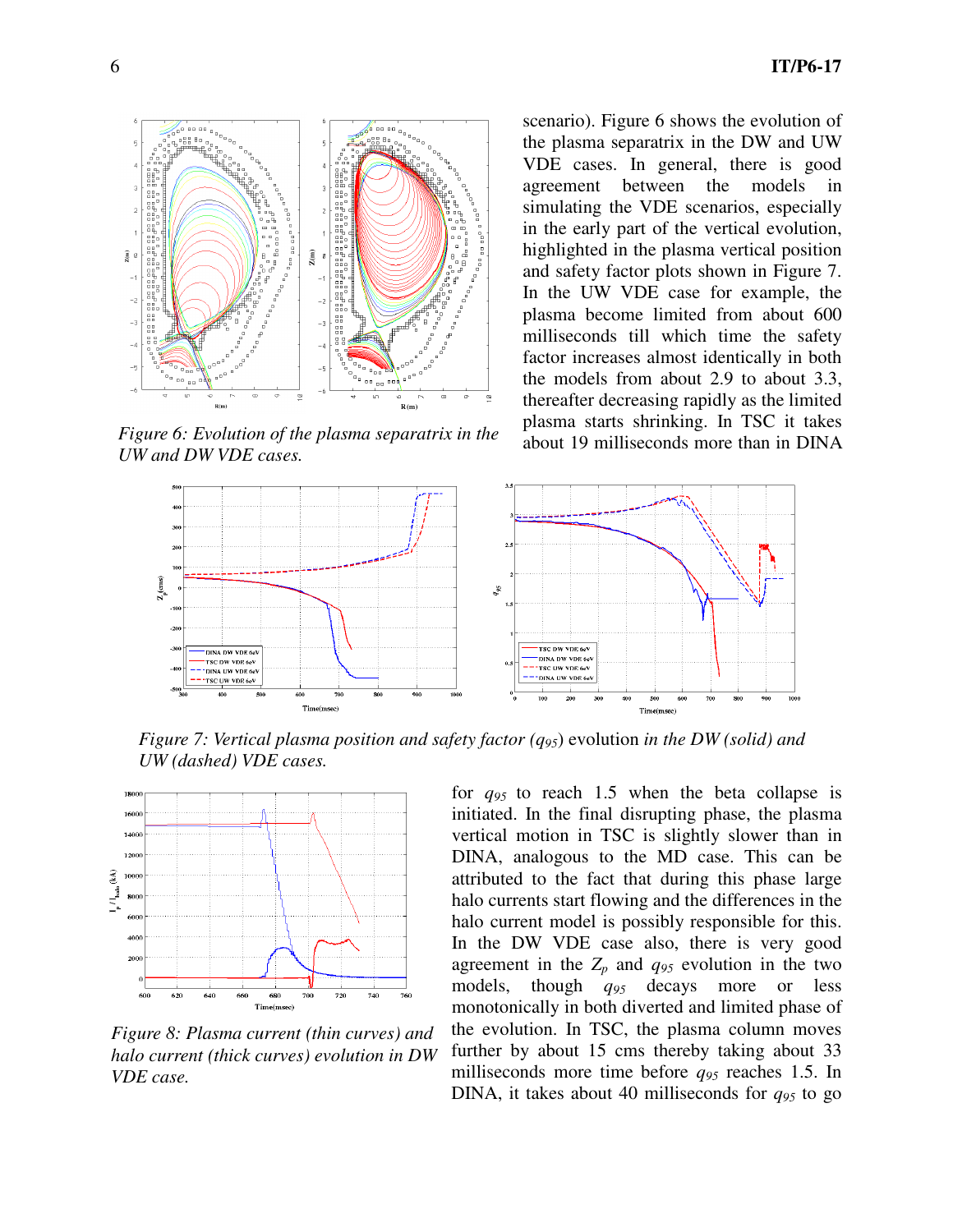

*Figure 6: Evolution of the plasma separatrix in the UW and DW VDE cases.* 

scenario). Figure 6 shows the evolution of the plasma separatrix in the DW and UW VDE cases. In general, there is good agreement between the models simulating the VDE scenarios, especially in the early part of the vertical evolution, highlighted in the plasma vertical position and safety factor plots shown in Figure 7. In the UW VDE case for example, the plasma become limited from about 600 milliseconds till which time the safety factor increases almost identically in both the models from about 2.9 to about 3.3, thereafter decreasing rapidly as the limited plasma starts shrinking. In TSC it takes about 19 milliseconds more than in DINA



*Figure 7: Vertical plasma position and safety factor (q95*) evolution *in the DW (solid) and UW (dashed) VDE cases.* 



*Figure 8: Plasma current (thin curves) and halo current (thick curves) evolution in DW VDE case.* 

for *q95* to reach 1.5 when the beta collapse is initiated. In the final disrupting phase, the plasma vertical motion in TSC is slightly slower than in DINA, analogous to the MD case. This can be attributed to the fact that during this phase large halo currents start flowing and the differences in the halo current model is possibly responsible for this. In the DW VDE case also, there is very good agreement in the  $Z_p$  and  $q_{95}$  evolution in the two models, though *q95* decays more or less monotonically in both diverted and limited phase of the evolution. In TSC, the plasma column moves further by about 15 cms thereby taking about 33 milliseconds more time before *q95* reaches 1.5. In DINA, it takes about 40 milliseconds for  $q_{95}$  to go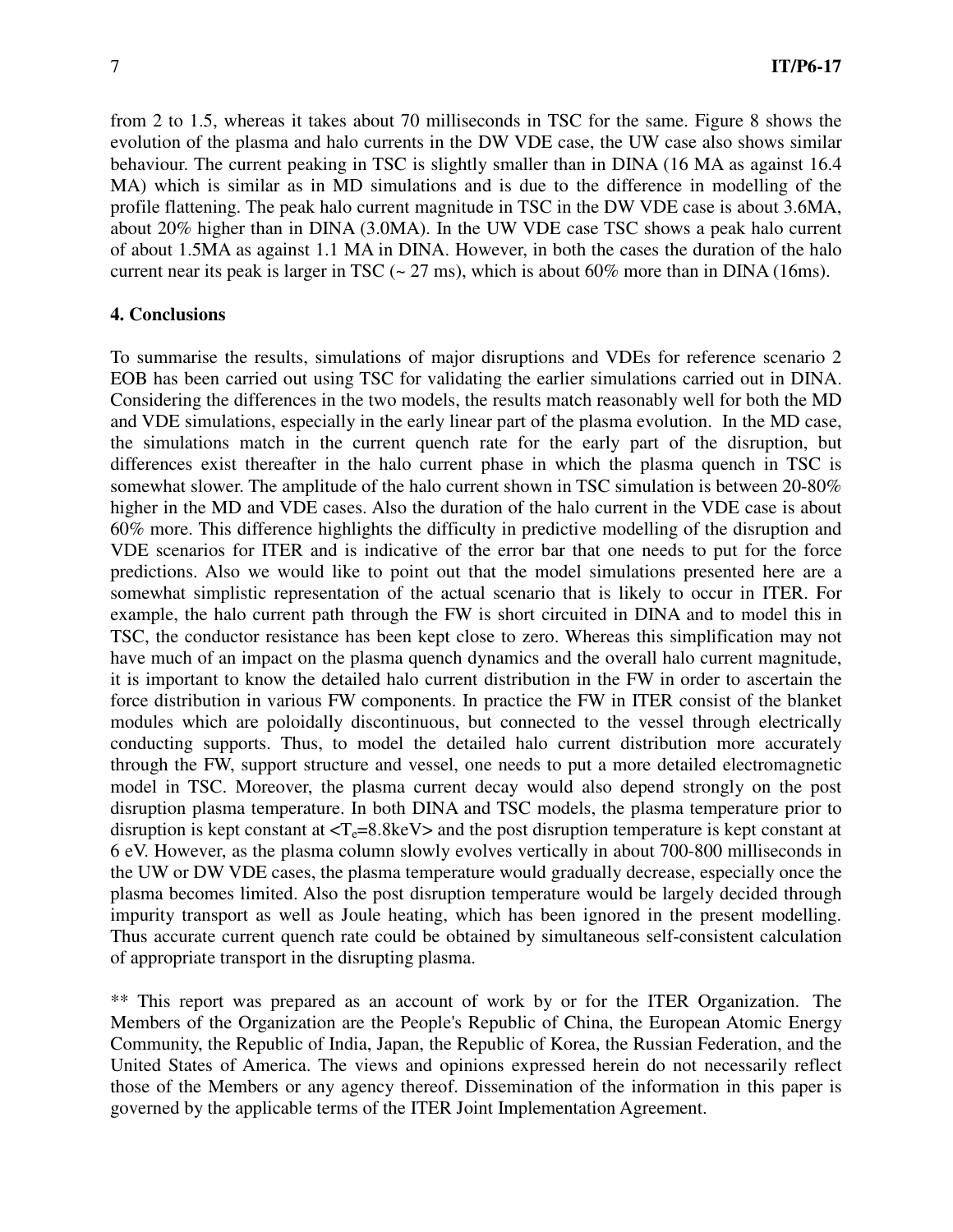from 2 to 1.5, whereas it takes about 70 milliseconds in TSC for the same. Figure 8 shows the evolution of the plasma and halo currents in the DW VDE case, the UW case also shows similar behaviour. The current peaking in TSC is slightly smaller than in DINA (16 MA as against 16.4 MA) which is similar as in MD simulations and is due to the difference in modelling of the profile flattening. The peak halo current magnitude in TSC in the DW VDE case is about 3.6MA, about 20% higher than in DINA (3.0MA). In the UW VDE case TSC shows a peak halo current of about 1.5MA as against 1.1 MA in DINA. However, in both the cases the duration of the halo current near its peak is larger in TSC  $(-27 \text{ ms})$ , which is about 60% more than in DINA (16ms).

### **4. Conclusions**

To summarise the results, simulations of major disruptions and VDEs for reference scenario 2 EOB has been carried out using TSC for validating the earlier simulations carried out in DINA. Considering the differences in the two models, the results match reasonably well for both the MD and VDE simulations, especially in the early linear part of the plasma evolution. In the MD case, the simulations match in the current quench rate for the early part of the disruption, but differences exist thereafter in the halo current phase in which the plasma quench in TSC is somewhat slower. The amplitude of the halo current shown in TSC simulation is between 20-80% higher in the MD and VDE cases. Also the duration of the halo current in the VDE case is about 60% more. This difference highlights the difficulty in predictive modelling of the disruption and VDE scenarios for ITER and is indicative of the error bar that one needs to put for the force predictions. Also we would like to point out that the model simulations presented here are a somewhat simplistic representation of the actual scenario that is likely to occur in ITER. For example, the halo current path through the FW is short circuited in DINA and to model this in TSC, the conductor resistance has been kept close to zero. Whereas this simplification may not have much of an impact on the plasma quench dynamics and the overall halo current magnitude, it is important to know the detailed halo current distribution in the FW in order to ascertain the force distribution in various FW components. In practice the FW in ITER consist of the blanket modules which are poloidally discontinuous, but connected to the vessel through electrically conducting supports. Thus, to model the detailed halo current distribution more accurately through the FW, support structure and vessel, one needs to put a more detailed electromagnetic model in TSC. Moreover, the plasma current decay would also depend strongly on the post disruption plasma temperature. In both DINA and TSC models, the plasma temperature prior to disruption is kept constant at  $\langle T_e=8.8 \text{keV}\rangle$  and the post disruption temperature is kept constant at 6 eV. However, as the plasma column slowly evolves vertically in about 700-800 milliseconds in the UW or DW VDE cases, the plasma temperature would gradually decrease, especially once the plasma becomes limited. Also the post disruption temperature would be largely decided through impurity transport as well as Joule heating, which has been ignored in the present modelling. Thus accurate current quench rate could be obtained by simultaneous self-consistent calculation of appropriate transport in the disrupting plasma.

\*\* This report was prepared as an account of work by or for the ITER Organization. The Members of the Organization are the People's Republic of China, the European Atomic Energy Community, the Republic of India, Japan, the Republic of Korea, the Russian Federation, and the United States of America. The views and opinions expressed herein do not necessarily reflect those of the Members or any agency thereof. Dissemination of the information in this paper is governed by the applicable terms of the ITER Joint Implementation Agreement.